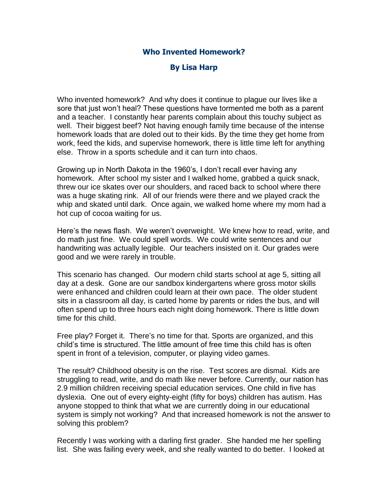## **Who Invented Homework?**

## **By Lisa Harp**

Who invented homework? And why does it continue to plague our lives like a sore that just won't heal? These questions have tormented me both as a parent and a teacher. I constantly hear parents complain about this touchy subject as well. Their biggest beef? Not having enough family time because of the intense homework loads that are doled out to their kids. By the time they get home from work, feed the kids, and supervise homework, there is little time left for anything else. Throw in a sports schedule and it can turn into chaos.

Growing up in North Dakota in the 1960's, I don't recall ever having any homework. After school my sister and I walked home, grabbed a quick snack, threw our ice skates over our shoulders, and raced back to school where there was a huge skating rink. All of our friends were there and we played crack the whip and skated until dark. Once again, we walked home where my mom had a hot cup of cocoa waiting for us.

Here's the news flash. We weren't overweight. We knew how to read, write, and do math just fine. We could spell words. We could write sentences and our handwriting was actually legible. Our teachers insisted on it. Our grades were good and we were rarely in trouble.

This scenario has changed. Our modern child starts school at age 5, sitting all day at a desk. Gone are our sandbox kindergartens where gross motor skills were enhanced and children could learn at their own pace. The older student sits in a classroom all day, is carted home by parents or rides the bus, and will often spend up to three hours each night doing homework. There is little down time for this child.

Free play? Forget it. There's no time for that. Sports are organized, and this child's time is structured. The little amount of free time this child has is often spent in front of a television, computer, or playing video games.

The result? Childhood obesity is on the rise. Test scores are dismal. Kids are struggling to read, write, and do math like never before. Currently, our nation has 2.9 million children receiving special education services. One child in five has dyslexia. One out of every eighty-eight (fifty for boys) children has autism. Has anyone stopped to think that what we are currently doing in our educational system is simply not working? And that increased homework is not the answer to solving this problem?

Recently I was working with a darling first grader. She handed me her spelling list. She was failing every week, and she really wanted to do better. I looked at